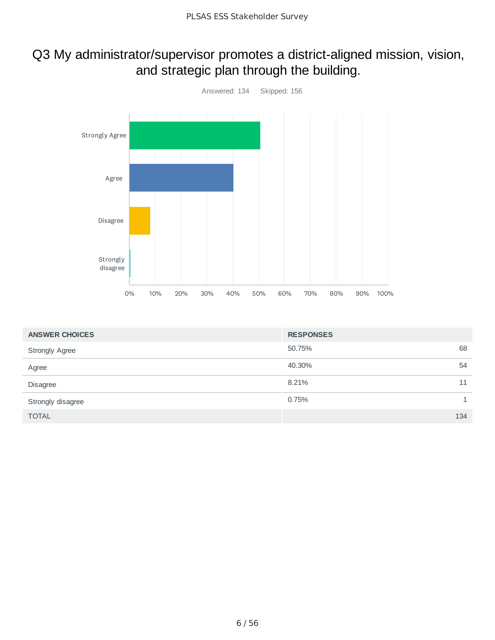# Q3 My administrator/supervisor promotes a district-aligned mission, vision, and strategic plan through the building.



| <b>ANSWER CHOICES</b> | <b>RESPONSES</b> |              |
|-----------------------|------------------|--------------|
| <b>Strongly Agree</b> | 68<br>50.75%     |              |
| Agree                 | 40.30%<br>54     |              |
| Disagree              | 8.21%<br>11      |              |
| Strongly disagree     | 0.75%            | $\mathbf{1}$ |
| <b>TOTAL</b>          | 134              |              |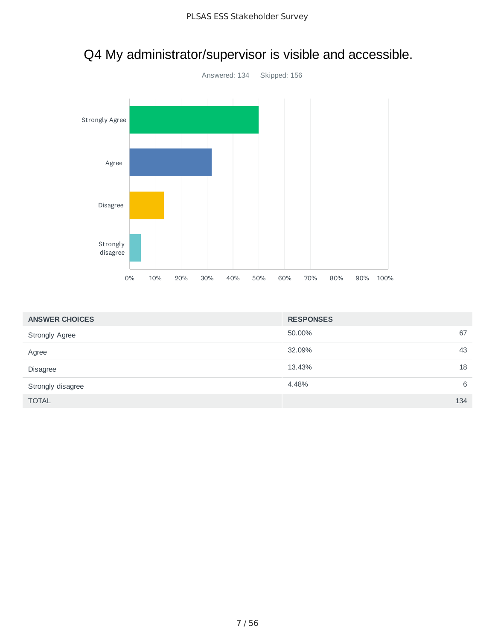

# Q4 My administrator/supervisor is visible and accessible.

| <b>ANSWER CHOICES</b> | <b>RESPONSES</b> |     |
|-----------------------|------------------|-----|
| <b>Strongly Agree</b> | 50.00%           | 67  |
| Agree                 | 32.09%           | 43  |
| Disagree              | 13.43%           | 18  |
| Strongly disagree     | 4.48%            | 6   |
| <b>TOTAL</b>          |                  | 134 |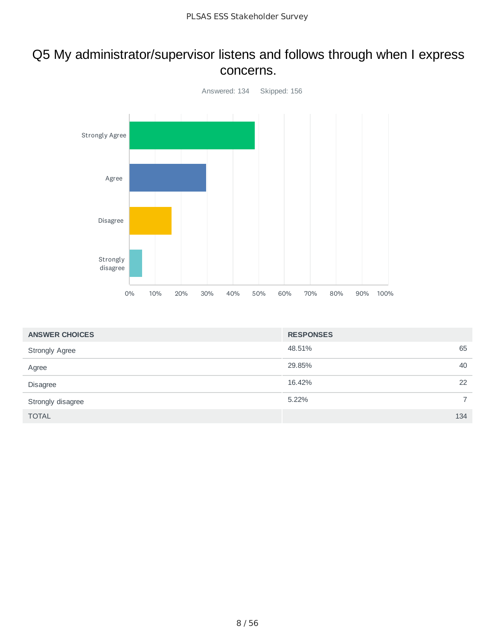#### Q5 My administrator/supervisor listens and follows through when I express concerns.



| <b>ANSWER CHOICES</b> | <b>RESPONSES</b> |                |
|-----------------------|------------------|----------------|
| <b>Strongly Agree</b> | 48.51%           | 65             |
| Agree                 | 29.85%           | 40             |
| <b>Disagree</b>       | 16.42%           | 22             |
| Strongly disagree     | 5.22%            | $\overline{7}$ |
| <b>TOTAL</b>          |                  | 134            |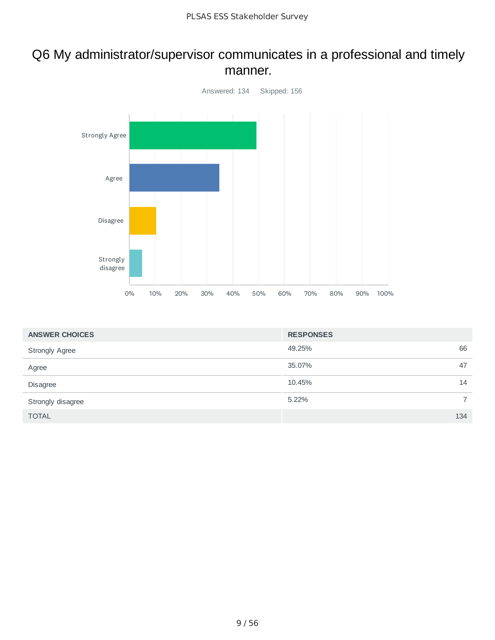#### Q6 My administrator/supervisor communicates in a professional and timely manner.



| <b>ANSWER CHOICES</b> | <b>RESPONSES</b> |                |
|-----------------------|------------------|----------------|
| <b>Strongly Agree</b> | 49.25%           | 66             |
| Agree                 | 35.07%           | 47             |
| <b>Disagree</b>       | 10.45%           | 14             |
| Strongly disagree     | 5.22%            | $\overline{7}$ |
| <b>TOTAL</b>          |                  | 134            |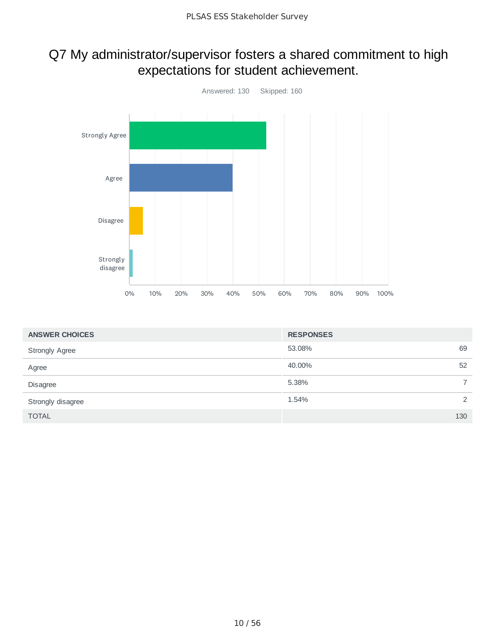# Q7 My administrator/supervisor fosters a shared commitment to high expectations for student achievement.



| <b>ANSWER CHOICES</b> | <b>RESPONSES</b> |     |
|-----------------------|------------------|-----|
| <b>Strongly Agree</b> | 53.08%           | 69  |
| Agree                 | 40.00%           | 52  |
| <b>Disagree</b>       | 5.38%            |     |
| Strongly disagree     | 1.54%            | 2   |
| <b>TOTAL</b>          |                  | 130 |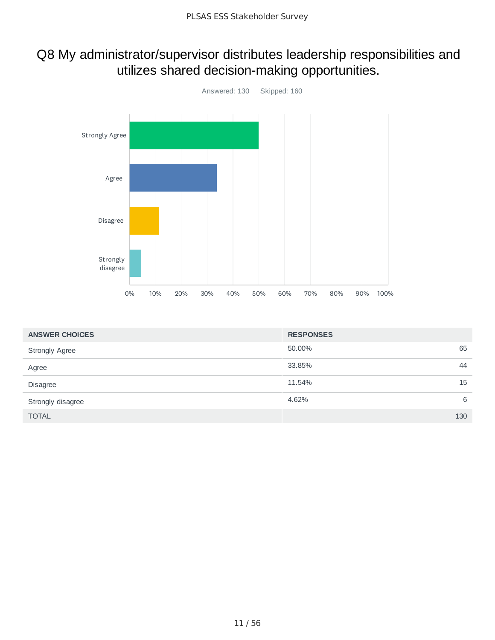# Q8 My administrator/supervisor distributes leadership responsibilities and utilizes shared decision-making opportunities.



| <b>ANSWER CHOICES</b> | <b>RESPONSES</b> |
|-----------------------|------------------|
| <b>Strongly Agree</b> | 65<br>50.00%     |
| Agree                 | 44<br>33.85%     |
| <b>Disagree</b>       | 15<br>11.54%     |
| Strongly disagree     | 6<br>4.62%       |
| <b>TOTAL</b>          | 130              |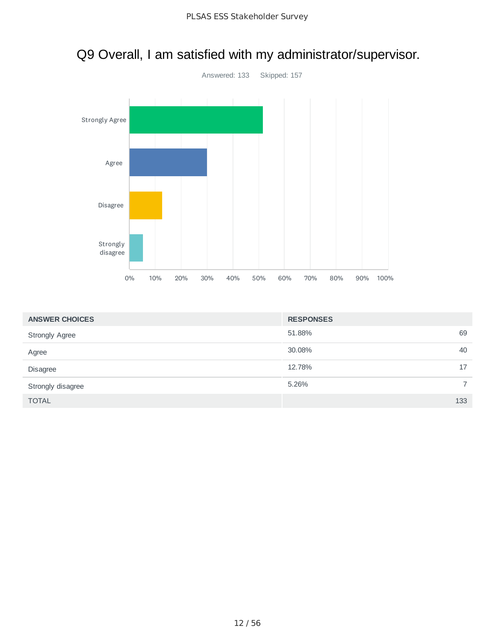

|  |  |  | Q9 Overall, I am satisfied with my administrator/supervisor. |
|--|--|--|--------------------------------------------------------------|
|--|--|--|--------------------------------------------------------------|

| <b>ANSWER CHOICES</b> | <b>RESPONSES</b> |     |
|-----------------------|------------------|-----|
| <b>Strongly Agree</b> | 51.88%           | 69  |
| Agree                 | 30.08%           | 40  |
| Disagree              | 12.78%           | 17  |
| Strongly disagree     | 5.26%            |     |
| <b>TOTAL</b>          |                  | 133 |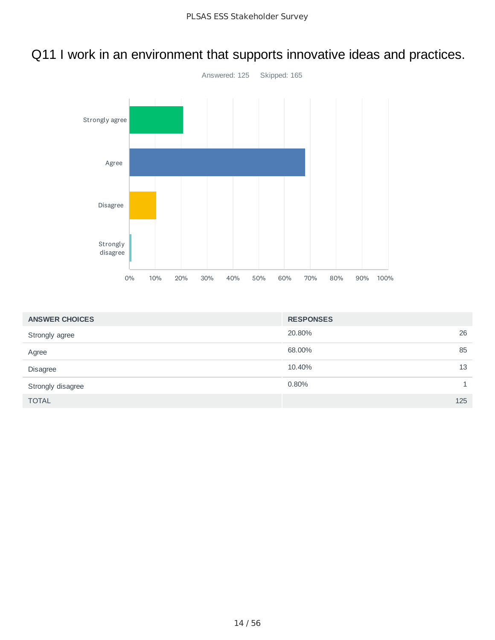# Q11 I work in an environment that supports innovative ideas and practices.



| <b>ANSWER CHOICES</b> | <b>RESPONSES</b> |     |
|-----------------------|------------------|-----|
| Strongly agree        | 20.80%           | 26  |
| Agree                 | 68.00%           | 85  |
| Disagree              | 10.40%           | 13  |
| Strongly disagree     | 0.80%            |     |
| <b>TOTAL</b>          |                  | 125 |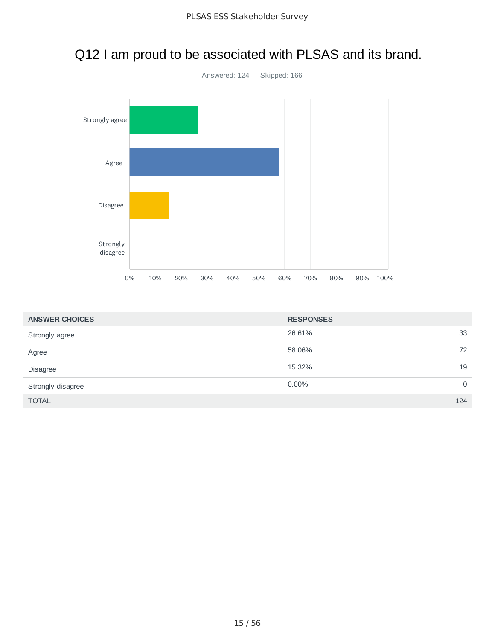

# Q12 I am proud to be associated with PLSAS and its brand.

| <b>ANSWER CHOICES</b> | <b>RESPONSES</b> |             |
|-----------------------|------------------|-------------|
| Strongly agree        | 26.61%           | 33          |
| Agree                 | 58.06%           | 72          |
| Disagree              | 15.32%           | 19          |
| Strongly disagree     | 0.00%            | $\mathbf 0$ |
| <b>TOTAL</b>          |                  | 124         |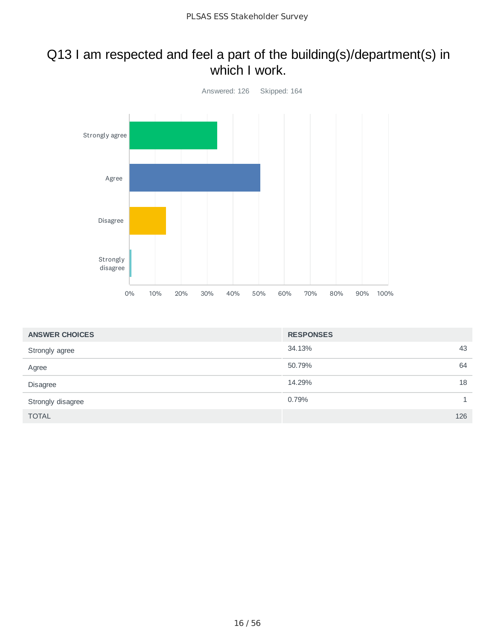### Q13 I am respected and feel a part of the building(s)/department(s) in which I work.



| <b>ANSWER CHOICES</b> | <b>RESPONSES</b> |    |
|-----------------------|------------------|----|
| Strongly agree        | 34.13%<br>43     |    |
| Agree                 | 64<br>50.79%     |    |
| <b>Disagree</b>       | 14.29%           | 18 |
| Strongly disagree     | 0.79%            |    |
| <b>TOTAL</b>          | 126              |    |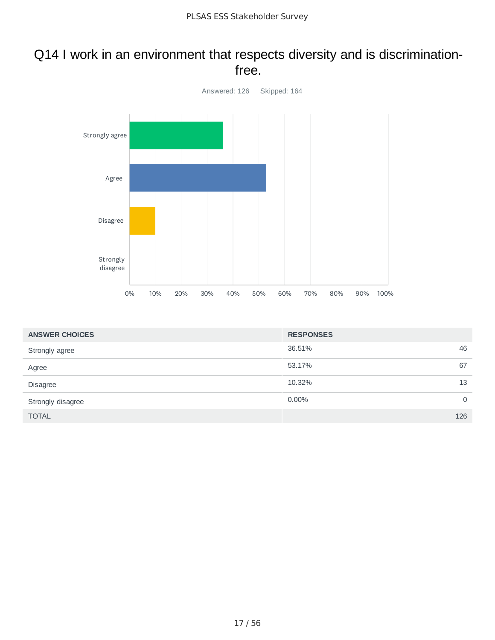#### Q14 I work in an environment that respects diversity and is discriminationfree.



| <b>ANSWER CHOICES</b> | <b>RESPONSES</b> |          |
|-----------------------|------------------|----------|
| Strongly agree        | 36.51%           | 46       |
| Agree                 | 53.17%           | 67       |
| Disagree              | 10.32%           | 13       |
| Strongly disagree     | $0.00\%$         | $\Omega$ |
| <b>TOTAL</b>          |                  | 126      |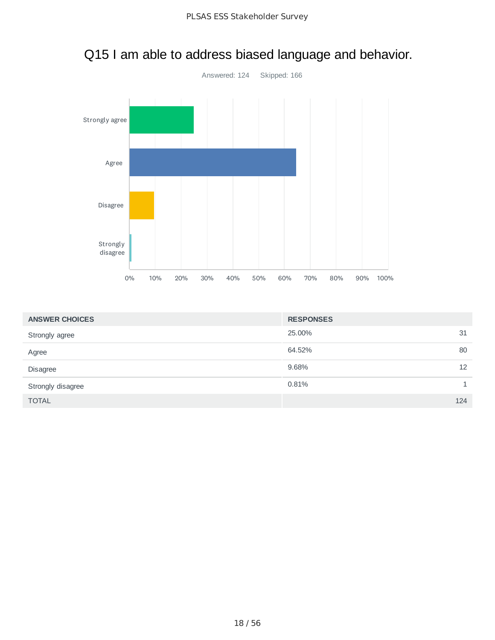

# Q15 I am able to address biased language and behavior.

| <b>ANSWER CHOICES</b> | <b>RESPONSES</b> |     |
|-----------------------|------------------|-----|
| Strongly agree        | 25,00%           | 31  |
| Agree                 | 64.52%           | 80  |
| Disagree              | 9.68%            | 12  |
| Strongly disagree     | 0.81%            |     |
| <b>TOTAL</b>          |                  | 124 |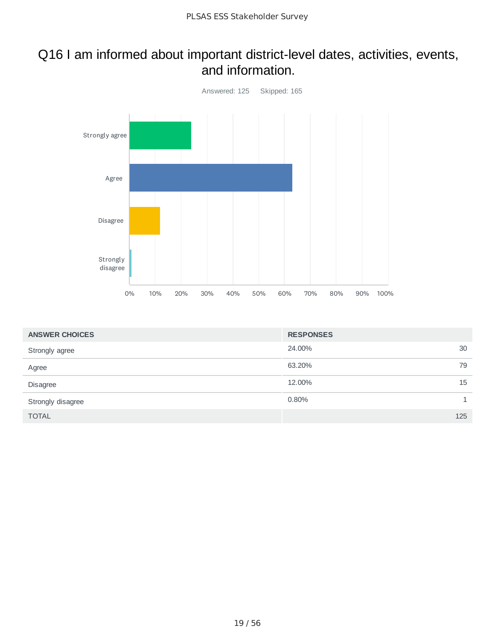#### Q16 I am informed about important district-level dates, activities, events, and information.



| <b>ANSWER CHOICES</b> | <b>RESPONSES</b> |    |
|-----------------------|------------------|----|
| Strongly agree        | 24.00%           | 30 |
| Agree                 | 63.20%           | 79 |
| Disagree              | 12.00%           | 15 |
| Strongly disagree     | 0.80%            |    |
| <b>TOTAL</b>          | 125              |    |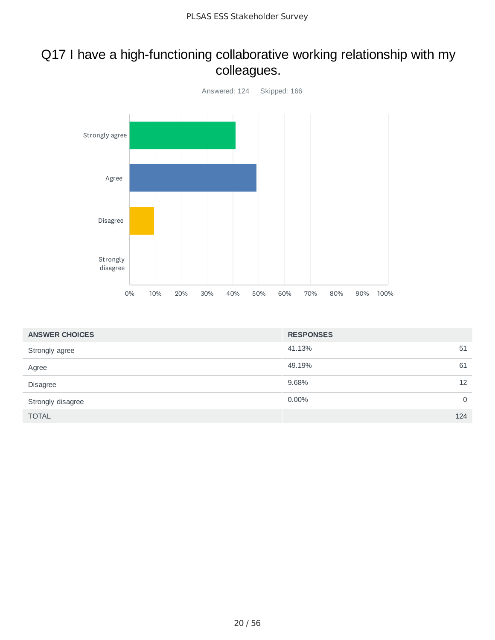## Q17 I have a high-functioning collaborative working relationship with my colleagues.



| <b>ANSWER CHOICES</b> | <b>RESPONSES</b> |          |
|-----------------------|------------------|----------|
| Strongly agree        | 41.13%           | 51       |
| Agree                 | 49.19%           | 61       |
| Disagree              | 9.68%            | 12       |
| Strongly disagree     | $0.00\%$         | $\Omega$ |
| <b>TOTAL</b>          |                  | 124      |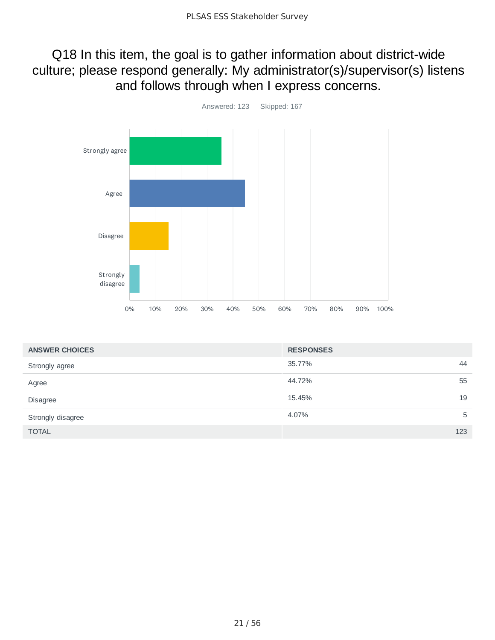## Q18 In this item, the goal is to gather information about district-wide culture; please respond generally: My administrator(s)/supervisor(s) listens and follows through when I express concerns.



| <b>ANSWER CHOICES</b> | <b>RESPONSES</b> |     |
|-----------------------|------------------|-----|
| Strongly agree        | 35.77%           | 44  |
| Agree                 | 44.72%           | 55  |
| Disagree              | 15.45%           | 19  |
| Strongly disagree     | 4.07%            | 5   |
| <b>TOTAL</b>          |                  | 123 |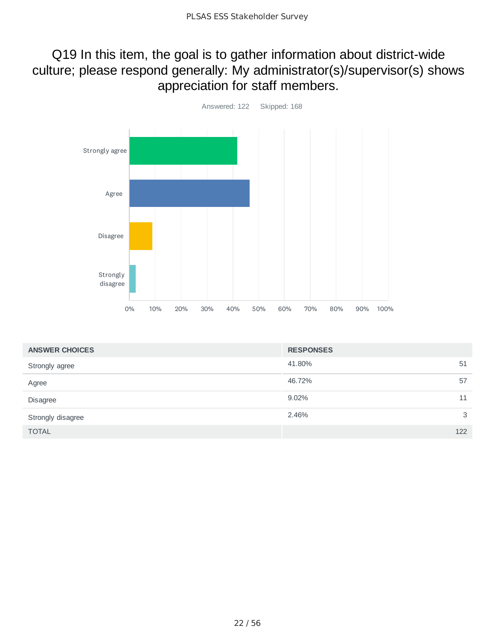## Q19 In this item, the goal is to gather information about district-wide culture; please respond generally: My administrator(s)/supervisor(s) shows appreciation for staff members.



| <b>ANSWER CHOICES</b> | <b>RESPONSES</b> |
|-----------------------|------------------|
| Strongly agree        | 41.80%<br>51     |
| Agree                 | 46.72%<br>57     |
| Disagree              | 9.02%<br>11      |
| Strongly disagree     | 3<br>2.46%       |
| <b>TOTAL</b>          | 122              |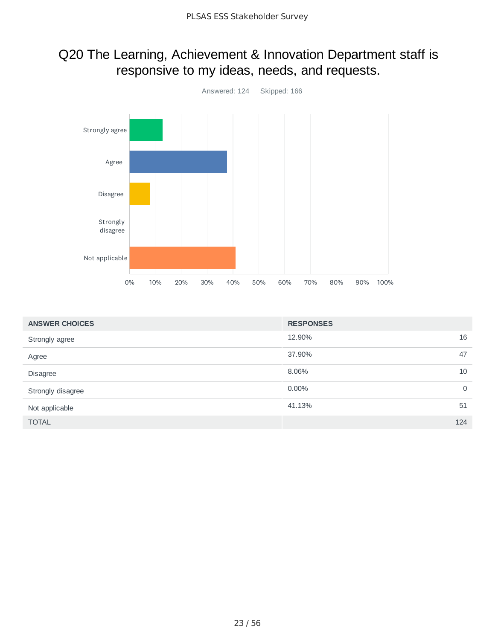# Q20 The Learning, Achievement & Innovation Department staff is responsive to my ideas, needs, and requests.



| <b>ANSWER CHOICES</b> | <b>RESPONSES</b> |
|-----------------------|------------------|
| Strongly agree        | 12.90%<br>16     |
| Agree                 | 37.90%<br>47     |
| Disagree              | 8.06%<br>10      |
| Strongly disagree     | 0.00%<br>0       |
| Not applicable        | 41.13%<br>51     |
| <b>TOTAL</b>          | 124              |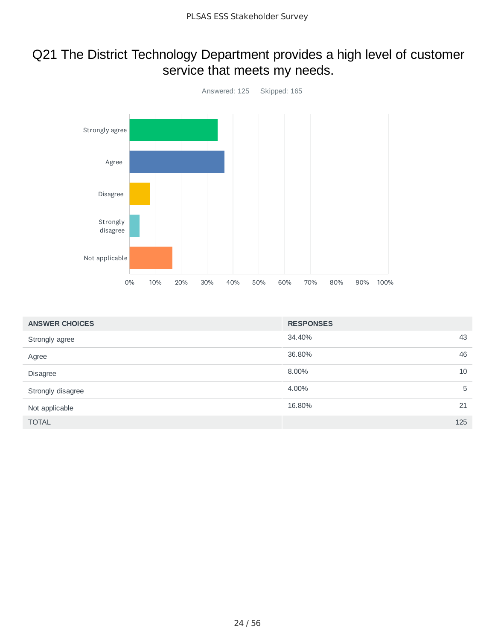## Q21 The District Technology Department provides a high level of customer service that meets my needs.



| <b>ANSWER CHOICES</b> | <b>RESPONSES</b> |     |
|-----------------------|------------------|-----|
| Strongly agree        | 34.40%           | 43  |
| Agree                 | 36.80%           | 46  |
| <b>Disagree</b>       | 8.00%            | 10  |
| Strongly disagree     | 4.00%            | 5   |
| Not applicable        | 16.80%           | 21  |
| <b>TOTAL</b>          |                  | 125 |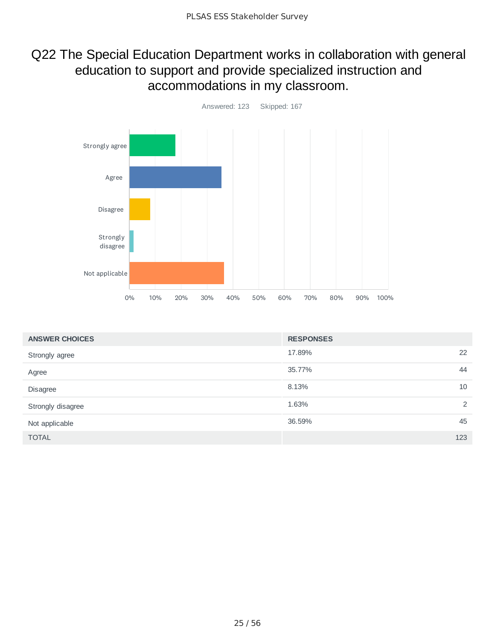## Q22 The Special Education Department works in collaboration with general education to support and provide specialized instruction and accommodations in my classroom.



| <b>ANSWER CHOICES</b> | <b>RESPONSES</b> |
|-----------------------|------------------|
| Strongly agree        | 22<br>17.89%     |
| Agree                 | 44<br>35.77%     |
| Disagree              | 10<br>8.13%      |
| Strongly disagree     | 1.63%<br>2       |
| Not applicable        | 36.59%<br>45     |
| <b>TOTAL</b>          | 123              |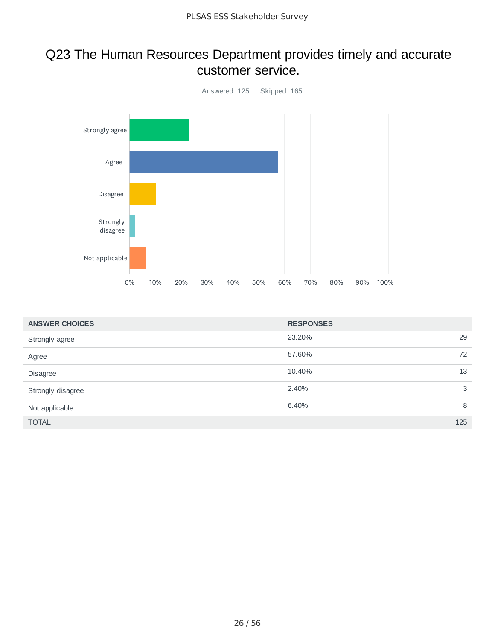#### Q23 The Human Resources Department provides timely and accurate customer service.



| <b>ANSWER CHOICES</b> | <b>RESPONSES</b> |     |
|-----------------------|------------------|-----|
| Strongly agree        | 23.20%           | 29  |
| Agree                 | 57.60%           | 72  |
| <b>Disagree</b>       | 10.40%           | 13  |
| Strongly disagree     | 2.40%            | 3   |
| Not applicable        | 6.40%            | 8   |
| <b>TOTAL</b>          |                  | 125 |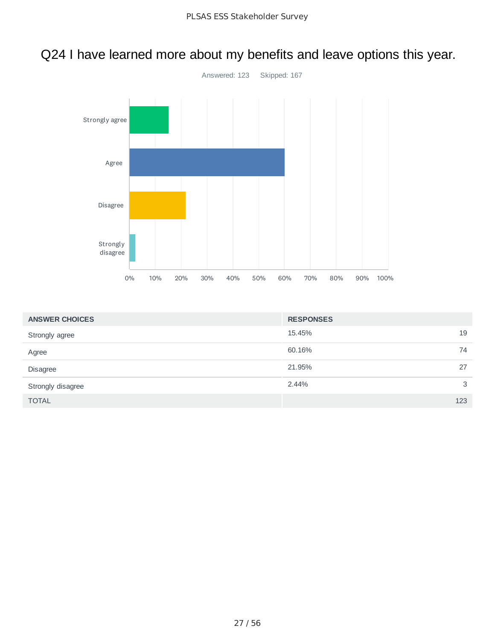# Q24 I have learned more about my benefits and leave options this year.



| <b>ANSWER CHOICES</b> | <b>RESPONSES</b> |     |
|-----------------------|------------------|-----|
| Strongly agree        | 15.45%           | 19  |
| Agree                 | 60.16%           | 74  |
| Disagree              | 21.95%           | 27  |
| Strongly disagree     | 2.44%            | 3   |
| <b>TOTAL</b>          |                  | 123 |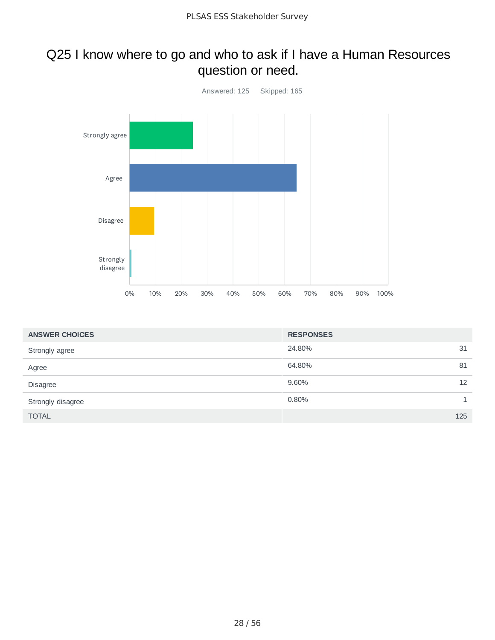## Q25 I know where to go and who to ask if I have a Human Resources question or need.



| <b>ANSWER CHOICES</b> | <b>RESPONSES</b> |              |
|-----------------------|------------------|--------------|
| Strongly agree        | 24.80%           | 31           |
| Agree                 | 64.80%           | 81           |
| Disagree              | 9.60%            | 12           |
| Strongly disagree     | 0.80%            | $\mathbf{1}$ |
| <b>TOTAL</b>          |                  | 125          |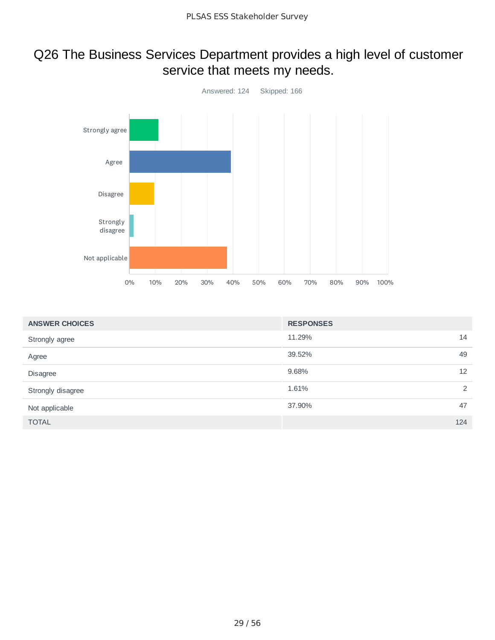## Q26 The Business Services Department provides a high level of customer service that meets my needs.



| <b>ANSWER CHOICES</b> | <b>RESPONSES</b> |     |
|-----------------------|------------------|-----|
| Strongly agree        | 11.29%           | 14  |
| Agree                 | 39.52%           | 49  |
| Disagree              | 9.68%            | 12  |
| Strongly disagree     | 1.61%            | 2   |
| Not applicable        | 37.90%           | 47  |
| <b>TOTAL</b>          |                  | 124 |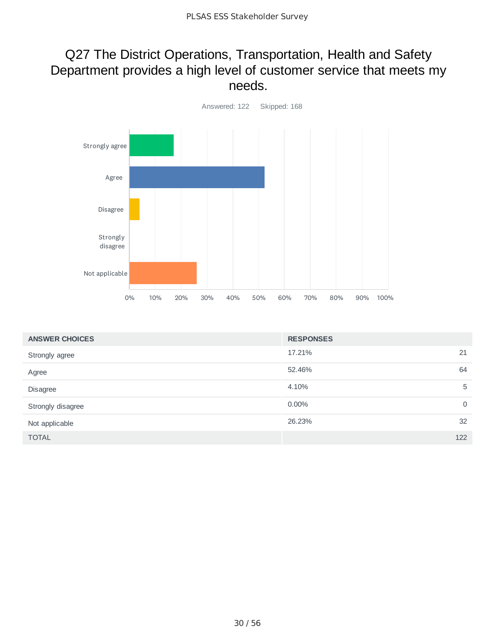#### Q27 The District Operations, Transportation, Health and Safety Department provides a high level of customer service that meets my needs.



| <b>ANSWER CHOICES</b> | <b>RESPONSES</b> |             |
|-----------------------|------------------|-------------|
| Strongly agree        | 17.21%<br>21     |             |
| Agree                 | 52.46%           | 64          |
| Disagree              | 4.10%            | 5           |
| Strongly disagree     | 0.00%            | $\mathbf 0$ |
| Not applicable        | 26.23%           | 32          |
| <b>TOTAL</b>          | 122              |             |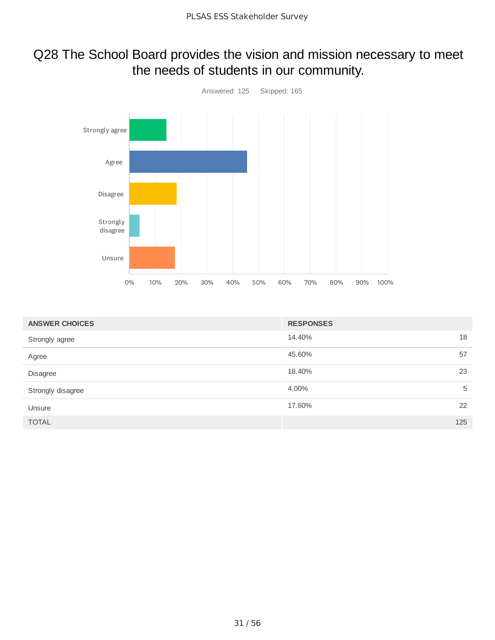## Q28 The School Board provides the vision and mission necessary to meet the needs of students in our community.



| <b>ANSWER CHOICES</b> | <b>RESPONSES</b> |   |
|-----------------------|------------------|---|
| Strongly agree        | 18<br>14.40%     |   |
| Agree                 | 45.60%<br>57     |   |
| Disagree              | 18.40%<br>23     |   |
| Strongly disagree     | 4.00%            | 5 |
| Unsure                | 22<br>17.60%     |   |
| <b>TOTAL</b>          | 125              |   |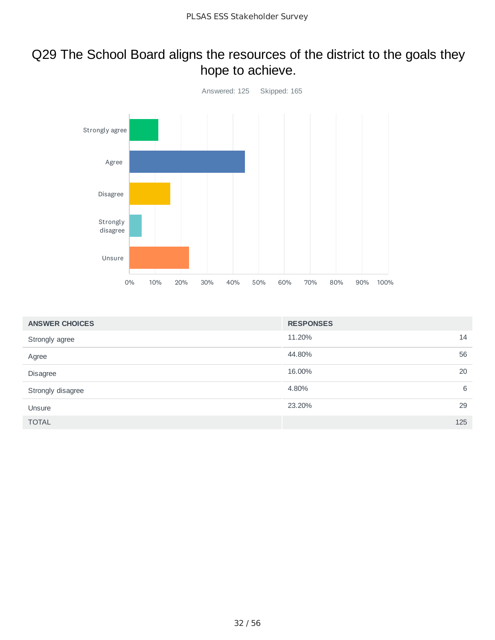## Q29 The School Board aligns the resources of the district to the goals they hope to achieve.



| <b>ANSWER CHOICES</b> | <b>RESPONSES</b> |   |
|-----------------------|------------------|---|
| Strongly agree        | 11.20%<br>14     |   |
| Agree                 | 44.80%<br>56     |   |
| Disagree              | 20<br>16.00%     |   |
| Strongly disagree     | 4.80%            | 6 |
| Unsure                | 23.20%<br>29     |   |
| <b>TOTAL</b>          | 125              |   |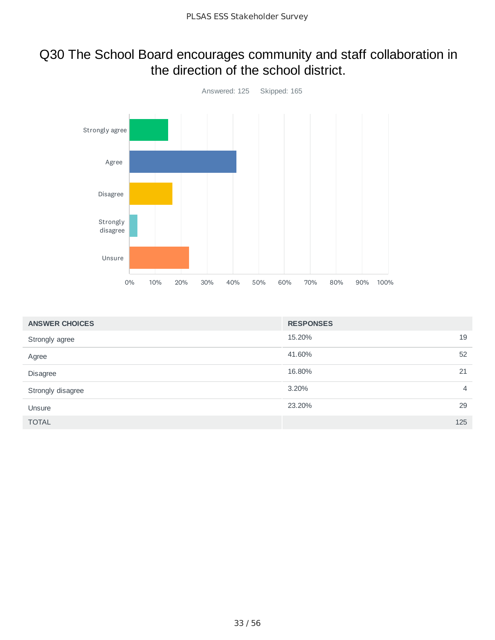### Q30 The School Board encourages community and staff collaboration in the direction of the school district.



| <b>ANSWER CHOICES</b> | <b>RESPONSES</b>        |
|-----------------------|-------------------------|
| Strongly agree        | 19<br>15.20%            |
| Agree                 | 52<br>41.60%            |
| Disagree              | 16.80%<br>21            |
| Strongly disagree     | 3.20%<br>$\overline{4}$ |
| Unsure                | 23.20%<br>29            |
| <b>TOTAL</b>          | 125                     |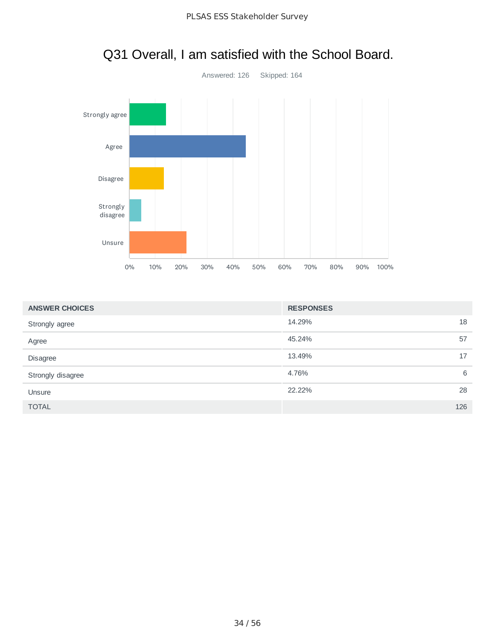

# Q31 Overall, I am satisfied with the School Board.

| <b>ANSWER CHOICES</b> | <b>RESPONSES</b> |     |
|-----------------------|------------------|-----|
| Strongly agree        | 14.29%           | 18  |
| Agree                 | 45.24%           | 57  |
| Disagree              | 13.49%           | 17  |
| Strongly disagree     | 4.76%            | 6   |
| Unsure                | 22.22%           | 28  |
| <b>TOTAL</b>          |                  | 126 |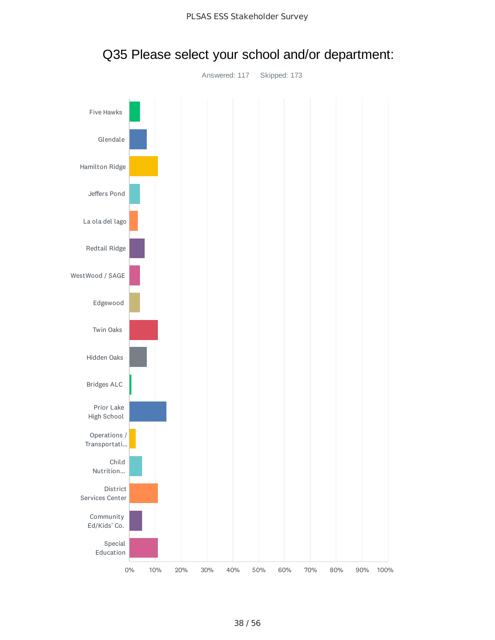

### Q35 Please select your school and/or department: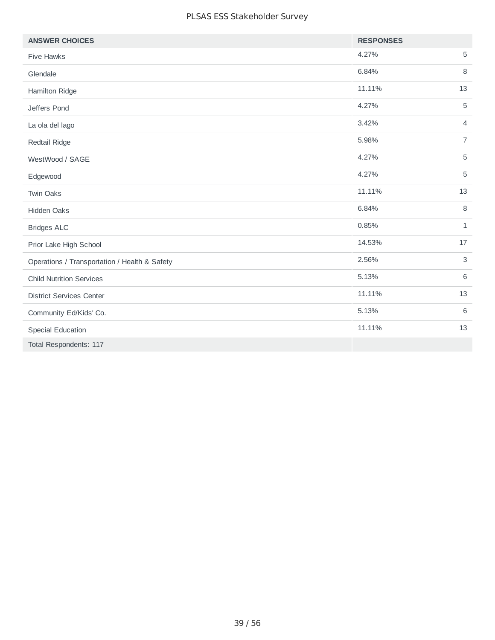| <b>ANSWER CHOICES</b>                         | <b>RESPONSES</b> |                |
|-----------------------------------------------|------------------|----------------|
| <b>Five Hawks</b>                             | 4.27%            | 5              |
| Glendale                                      | 6.84%            | 8              |
| Hamilton Ridge                                | 11.11%           | 13             |
| Jeffers Pond                                  | 4.27%            | 5              |
| La ola del lago                               | 3.42%            | $\overline{4}$ |
| Redtail Ridge                                 | 5.98%            | $\overline{7}$ |
| WestWood / SAGE                               | 4.27%            | 5              |
| Edgewood                                      | 4.27%            | 5              |
| <b>Twin Oaks</b>                              | 11.11%           | 13             |
| Hidden Oaks                                   | 6.84%            | 8              |
| <b>Bridges ALC</b>                            | 0.85%            | $\mathbf{1}$   |
| Prior Lake High School                        | 14.53%           | 17             |
| Operations / Transportation / Health & Safety | 2.56%            | 3              |
| <b>Child Nutrition Services</b>               | 5.13%            | 6              |
| <b>District Services Center</b>               | 11.11%           | 13             |
| Community Ed/Kids' Co.                        | 5.13%            | 6              |
| <b>Special Education</b>                      | 11.11%           | 13             |
| Total Respondents: 117                        |                  |                |